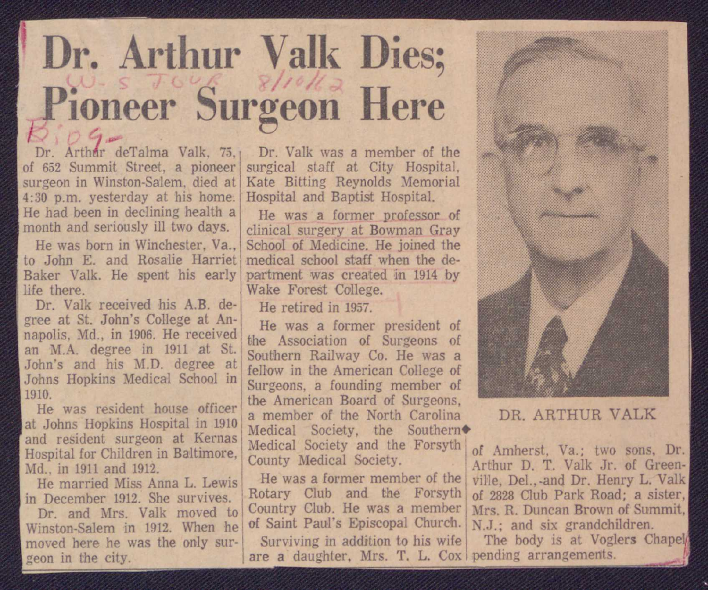## **Dr. Arthur Vall{ Dies; Pioneer Surgeon Here**

Dr. Arthur deTalma Valk. 75, Dr. Valk was a member of the of 652 Summit Street, a pioneer surgical staff at City Hospital.<br>surgeon in Winston-Salem, died at Kate Bitting Reynolds Memorial 4:30 p.m. yesterday at his home.<br>He had been in declining health a He had been in declining health a He was a former professor of month and seriously ill two days.

to John E. and Rosalie Harriet medical school staff when the de-<br>Baker Valk, He spent his early partment was created in 1914 by Baker Valk. He spent his early partment was created in 1914 by<br>life there.

Dr. Valk received his A.B. de-<br>gree at St. John's College at An-<br>He was a former gree at St. John's College at An-<br>napolis, Md., in 1906. He received the Association of Supports of napolis, Md., in 1906. He received the Association of Surgeons of an M.A. degree in 1911 at St. Content John's and his M.D. degree at Johns Hopkins Medical School in fellow in the American College of

He was resident house officer a member of the North Carolina DR. ARTHUR VALK at Johns Hopkins Hospital in 1910 Medical Society, the Southern and resident surgeon at Kernas Medical Society and the Forsyth<br>Hospital for Children in Baltimore. Hospital in 1910 a member of the North Carolina<br>and resident surgeon at Kernas Medical Society, the Southern<br>Hospital for Children in Baltimore, Medical Society and the Forsyth of Amherst, Va.; two sons, Dr.<br>Main 1911 and Md., in 1911 and 1912.

in December 1912. She survives. Rotary Club and the Forsyth of 2828 Club Park Road; a sister,<br>Dr. and Mrs. Valk moved to Country Club. He was a member Mrs. R. Duncan Brown of Summit. Winston-Salem in 1912. When he of Saint Paul's Episcopal Church. N.J.; and six grandchildren.<br>moved here he was the only sur-<br>Surviving in addition to his wife. The body is at Voglers Chapel moved here he was the only sur-<br>Surviving in addition to his wife geon in the city. **are a daughter**, Mrs. T. L. Cox pending arrangements.

Kate Bitting Reynolds Memorial<br>Hospital and Baptist Hospital.

clinical surgery at Bowman Gray He was born in Winchester, Va., School of Medicine. He joined the Wake Forest College.

Southern Railway Co. He was a Surgeons, a founding member of 1910. He was resident house officer the American Board of Surgeons,

Rotary Club and the Forsyth Dr. and Mrs. Valk moved to Country Club. He was a member Mrs. R. Duncan Brown of Sun<br>instan-Salem in 1912, When he of Saint Paul's Episcopal Church. N.J.: and six grandchildren.



County Medical Society.<br>
He was a former member of the ville, Del., and Dr. Henry L. Valk He married Miss Anna L. Lewis He was a former member of the ville, Del., -and Dr. Henry L. Valk<br>December 1912, She survives Rotary Club and the Forsyth of 2828 Club Park Road; a sister,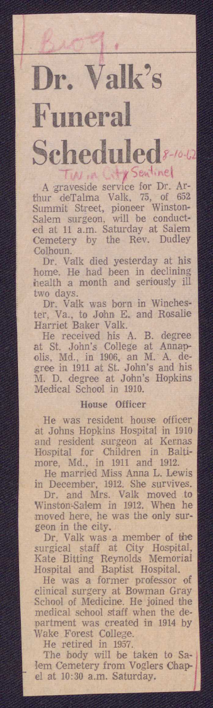## Dr. Valk's

**Funeral** 

## Scheduled 8-10-62 *IC:.* I. **<sup>i</sup>**

A graveside service for Dr. Ar-<br>thur deTalma Valk, 75, of 652 Summit Street, pioneer Winston-Salem surgeon, will be conduct· ed at 11 a.m. Saturday at Salem Cemetery by the Rev. Dudley

Colhoun. Dr. Valk died yesterday at his home. He had been *in* declining health a month and seriously ill two days.

Dr. Valk was born in Winches· ter, Va., to John E. and Rosalie Harriet Baker Valk.

He received his A. B. degree at St. John's College at Annapolis, Md., in 1906, an M. A. de-<br>gree in 1911 at St. John's and his M. D. degree at John's Hopkins Medical School in 1910.

## **House Officer**

He was resident house officer at Johns Hopkins Hospital in 1910 and resident surgeon at Kernas Hospital for Children in Balti-

more, Md., in 1911 and 1912. He married Miss Anna L. Lewis in December, 1912. She survives.

Dr. and Mrs. Valk moved to Winsron-Salem in 1912. When he moved here, he was the only surgeon in the city.

Dr. Valk was a member of *the*  surgical staff at Oity Hospital, Kate Bitting Reynolds Memorial Hospital and Baptist Hospital.

He was a former professor of clinical surgery at Bowman Gray School of Medicine. He joined the medical school staff when the de-partment was created *in* 1914 by Wake Forest College.

He retired in 1957.

The body will be taken to Sa· *<sup>J</sup>* Iern Cemetery from Voglers Chapel at 10:30 a.m. Saturday.